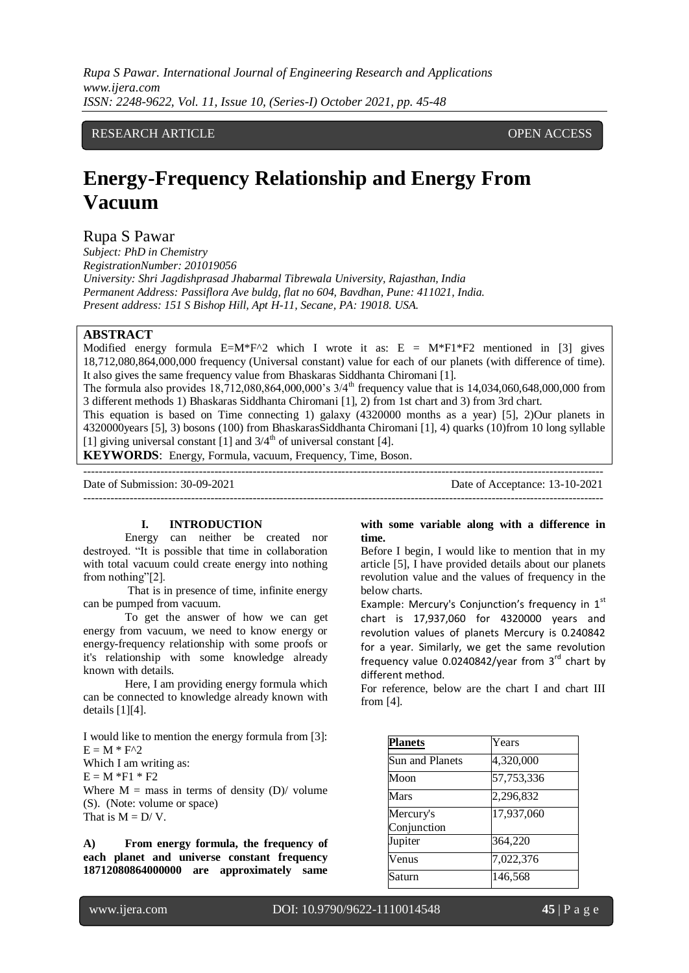*Rupa S Pawar. International Journal of Engineering Research and Applications www.ijera.com ISSN: 2248-9622, Vol. 11, Issue 10, (Series-I) October 2021, pp. 45-48*

# RESEARCH ARTICLE **CONTRACT ARTICLE**

# **Energy-Frequency Relationship and Energy From Vacuum**

Rupa S Pawar

*Subject: PhD in Chemistry RegistrationNumber: 201019056 University: Shri Jagdishprasad Jhabarmal Tibrewala University, Rajasthan, India Permanent Address: Passiflora Ave buldg, flat no 604, Bavdhan, Pune: 411021, India. Present address: 151 S Bishop Hill, Apt H-11, Secane, PA: 19018. USA.*

# **ABSTRACT**

Modified energy formula  $E=M*F^2$  which I wrote it as:  $E = M*F1*F2$  mentioned in [3] gives 18,712,080,864,000,000 frequency (Universal constant) value for each of our planets (with difference of time). It also gives the same frequency value from Bhaskaras Siddhanta Chiromani [1].

The formula also provides  $18,712,080,864,000,000$ 's  $3/4^{\text{th}}$  frequency value that is  $14,034,060,648,000,000$  from 3 different methods 1) Bhaskaras Siddhanta Chiromani [1], 2) from 1st chart and 3) from 3rd chart.

This equation is based on Time connecting 1) galaxy (4320000 months as a year) [5], 2)Our planets in 4320000years [5], 3) bosons (100) from BhaskarasSiddhanta Chiromani [1], 4) quarks (10)from 10 long syllable [1] giving universal constant [1] and  $3/4<sup>th</sup>$  of universal constant [4].

**KEYWORDS**: Energy, Formula, vacuum, Frequency, Time, Boson.

--------------------------------------------------------------------------------------------------------------------------------------- Date of Submission: 30-09-2021 Date of Acceptance: 13-10-2021 ---------------------------------------------------------------------------------------------------------------------------------------

# **I. INTRODUCTION**

Energy can neither be created nor destroyed. "It is possible that time in collaboration with total vacuum could create energy into nothing from nothing"[2].

That is in presence of time, infinite energy can be pumped from vacuum.

To get the answer of how we can get energy from vacuum, we need to know energy or energy-frequency relationship with some proofs or it's relationship with some knowledge already known with details.

Here, I am providing energy formula which can be connected to knowledge already known with details [1][4].

I would like to mention the energy formula from [3]:  $E = M * F^2$ 

Which I am writing as:

 $E = M * F1 * F2$ 

Where  $M =$  mass in terms of density  $(D)$  volume (S). (Note: volume or space) That is  $M = D/V$ .

**A) From energy formula, the frequency of each planet and universe constant frequency 18712080864000000 are approximately same** 

#### **with some variable along with a difference in time.**

Before I begin, I would like to mention that in my article [5], I have provided details about our planets revolution value and the values of frequency in the below charts.

Example: Mercury's Conjunction's frequency in 1st chart is 17,937,060 for 4320000 years and revolution values of planets Mercury is 0.240842 for a year. Similarly, we get the same revolution frequency value  $0.0240842$ /year from  $3<sup>rd</sup>$  chart by different method.

For reference, below are the chart I and chart III from [4].

| <b>Planets</b>         | Years      |
|------------------------|------------|
| <b>Sun and Planets</b> | 4,320,000  |
| Moon                   | 57,753,336 |
| <b>Mars</b>            | 2,296,832  |
| Mercury's              | 17,937,060 |
| Conjunction            |            |
| Jupiter                | 364,220    |
| Venus                  | 7,022,376  |
| Saturn                 | 146,568    |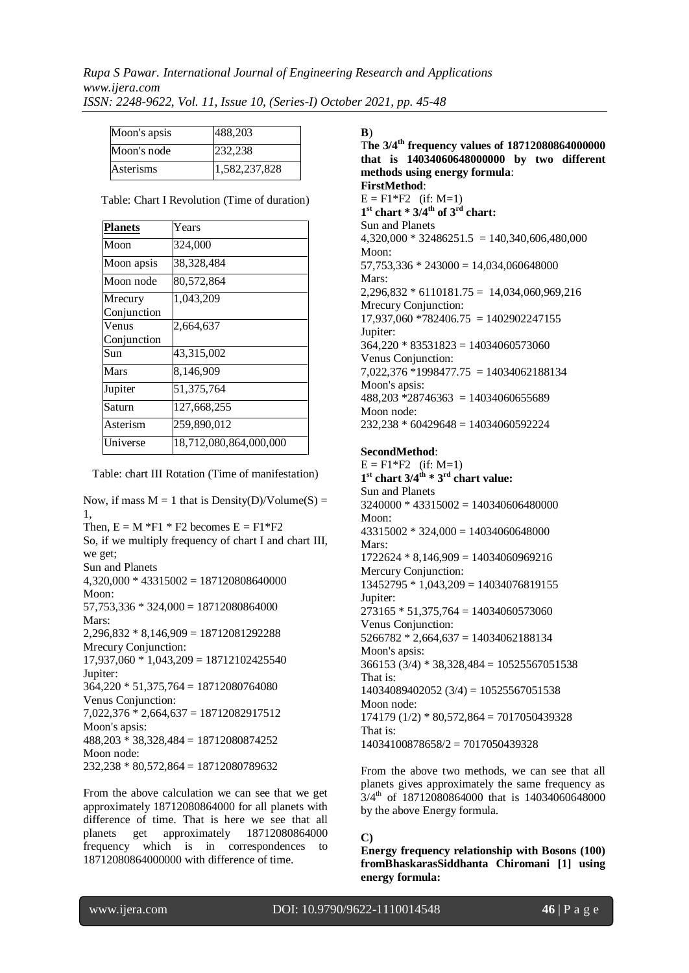*Rupa S Pawar. International Journal of Engineering Research and Applications www.ijera.com ISSN: 2248-9622, Vol. 11, Issue 10, (Series-I) October 2021, pp. 45-48*

| Moon's apsis | 488,203       |
|--------------|---------------|
| Moon's node  | 232.238       |
| Asterisms    | 1,582,237,828 |

| <b>Planets</b>         | Years                  |
|------------------------|------------------------|
| Moon                   | 324,000                |
| Moon apsis             | 38,328,484             |
| Moon node              | 80,572,864             |
| Mrecury<br>Conjunction | 1,043,209              |
| Venus                  | 2,664,637              |
| Conjunction            |                        |
| Sun                    | 43,315,002             |
| Mars                   | 8,146,909              |
| Jupiter                | 51,375,764             |
| Saturn                 | 127,668,255            |
| Asterism               | 259,890,012            |
| Universe               | 18,712,080,864,000,000 |

Table: Chart I Revolution (Time of duration)

Table: chart III Rotation (Time of manifestation)

Now, if mass  $M = 1$  that is Density(D)/Volume(S) = 1, Then,  $E = M *F1 * F2$  becomes  $E = F1 *F2$ So, if we multiply frequency of chart I and chart III, we get; Sun and Planets  $4,320,000 * 43315002 = 187120808640000$ Moon:  $57,753,336 * 324,000 = 18712080864000$ Mars:  $2,296,832 * 8,146,909 = 18712081292288$ Mrecury Conjunction: 17,937,060 \* 1,043,209 = 18712102425540 Jupiter:  $364,220 * 51,375,764 = 18712080764080$ Venus Conjunction: 7,022,376 \* 2,664,637 = 18712082917512 Moon's apsis: 488,203 \* 38,328,484 = 18712080874252 Moon node: 232,238 \* 80,572,864 = 18712080789632

From the above calculation we can see that we get approximately 18712080864000 for all planets with difference of time. That is here we see that all planets get approximately 18712080864000 frequency which is in correspondences to 18712080864000000 with difference of time.

**B**)

T**he 3/4th frequency values of 18712080864000000 that is 14034060648000000 by two different methods using energy formula**: **FirstMethod**:  $E = F1*F2$  (if: M=1) **1 st chart \* 3/4th of 3rd chart:** Sun and Planets  $4,320,000 * 32486251.5 = 140,340,606,480,000$ Moon:  $57,753,336 * 243000 = 14,034,060648000$ Mars:  $2,296,832 * 6110181.75 = 14,034,060,969,216$ Mrecury Conjunction:  $17,937,060$  \*782406.75 = 1402902247155 Jupiter:  $364,220 * 83531823 = 14034060573060$ Venus Conjunction: 7,022,376 \*1998477.75 = 14034062188134 Moon's apsis:  $488,203 *28746363 = 14034060655689$ Moon node:  $232,238 * 60429648 = 14034060592224$ 

#### **SecondMethod**:

 $E = F1*F2$  (if: M=1) **1 st chart 3/4th \* 3rd chart value:** Sun and Planets  $3240000 * 43315002 = 140340606480000$ Moon<sup>.</sup> 43315002 \* 324,000 = 14034060648000 Mars:  $1722624 * 8,146,909 = 14034060969216$ Mercury Conjunction: 13452795 \* 1,043,209 = 14034076819155 Jupiter: 273165 \* 51,375,764 = 14034060573060 Venus Conjunction: 5266782 \* 2,664,637 = 14034062188134 Moon's apsis: 366153 (3/4) \* 38,328,484 = 10525567051538 That is: 14034089402052 (3/4) = 10525567051538 Moon node:  $174179 (1/2) * 80,572,864 = 7017050439328$ That is: 14034100878658/2 = 7017050439328

From the above two methods, we can see that all planets gives approximately the same frequency as  $3/4^{\text{th}}$  of 18712080864000 that is 14034060648000 by the above Energy formula.

# **C)**

**Energy frequency relationship with Bosons (100) fromBhaskarasSiddhanta Chiromani [1] using energy formula:**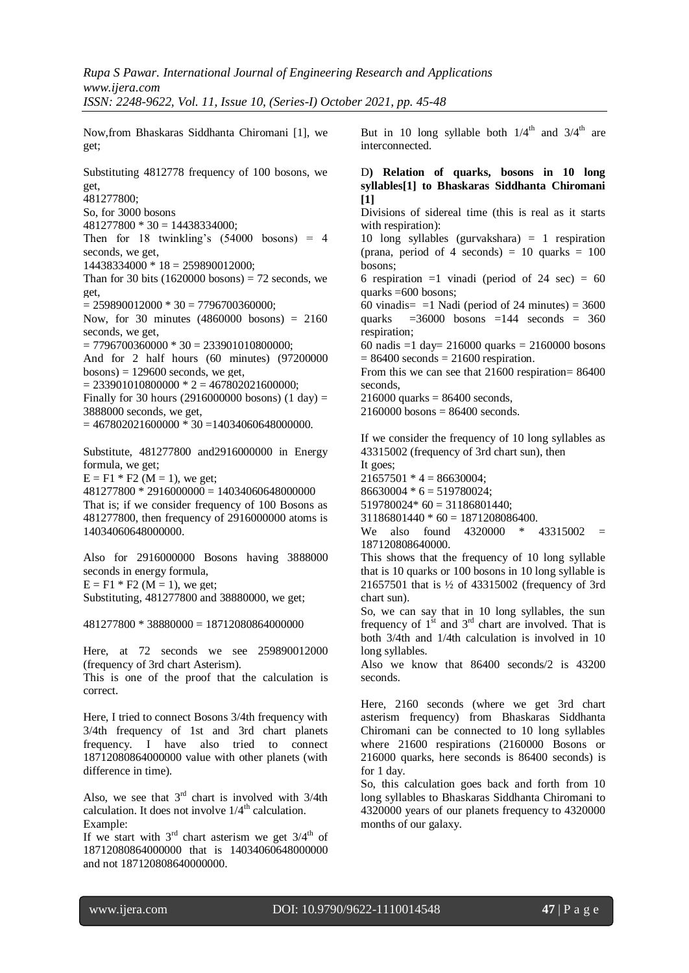Now,from Bhaskaras Siddhanta Chiromani [1], we get;

Substituting 4812778 frequency of 100 bosons, we get, 481277800; So, for 3000 bosons  $481277800 * 30 = 14438334000$ ; Then for 18 twinkling's (54000 bosons) = 4 seconds, we get, 14438334000 \* 18 = 259890012000; Than for 30 bits  $(1620000 \text{ bosons}) = 72 \text{ seconds}$ , we get,  $= 259890012000 * 30 = 7796700360000$ ; Now, for 30 minutes (4860000 bosons) = 2160 seconds, we get,  $= 7796700360000 * 30 = 233901010800000;$ And for 2 half hours (60 minutes) (97200000  $bosons$ ) = 129600 seconds, we get,  $= 233901010800000 * 2 = 467802021600000;$ Finally for 30 hours (2916000000 bosons) (1 day)  $=$ 3888000 seconds, we get,  $= 467802021600000 * 30 = 14034060648000000.$ 

Substitute, 481277800 and2916000000 in Energy formula, we get;  $E = F1 * F2$  (M = 1), we get;

 $481277800 * 2916000000 = 14034060648000000$ That is; if we consider frequency of 100 Bosons as 481277800, then frequency of 2916000000 atoms is 14034060648000000.

Also for 2916000000 Bosons having 3888000 seconds in energy formula,  $E = F1 * F2 (M = 1)$ , we get; Substituting, 481277800 and 38880000, we get;

 $481277800 * 38880000 = 18712080864000000$ 

Here, at 72 seconds we see 259890012000 (frequency of 3rd chart Asterism). This is one of the proof that the calculation is

correct.

Here, I tried to connect Bosons 3/4th frequency with 3/4th frequency of 1st and 3rd chart planets frequency. I have also tried to connect 18712080864000000 value with other planets (with difference in time).

Also, we see that  $3<sup>rd</sup>$  chart is involved with  $3/4$ th calculation. It does not involve  $1/4^{\text{th}}$  calculation. Example:

If we start with  $3<sup>rd</sup>$  chart asterism we get  $3/4<sup>th</sup>$  of 18712080864000000 that is 14034060648000000 and not 187120808640000000.

But in 10 long syllable both  $1/4<sup>th</sup>$  and  $3/4<sup>th</sup>$  are interconnected.

# D**) Relation of quarks, bosons in 10 long syllables[1] to Bhaskaras Siddhanta Chiromani [1]**

Divisions of sidereal time (this is real as it starts with respiration):

10 long syllables (gurvakshara) = 1 respiration (prana, period of 4 seconds) = 10 quarks =  $100$ bosons;

6 respiration  $=1$  vinadi (period of 24 sec)  $= 60$ quarks  $=600$  bosons:

60 vinadis=  $=1$  Nadi (period of 24 minutes) = 3600 quarks  $=36000$  bosons  $=144$  seconds  $= 360$ respiration;

60 nadis =1 day= 216000 quarks = 2160000 bosons  $= 86400$  seconds  $= 21600$  respiration.

From this we can see that 21600 respiration= 86400 seconds,

 $216000$  quarks = 86400 seconds,

 $2160000$  bosons = 86400 seconds.

If we consider the frequency of 10 long syllables as 43315002 (frequency of 3rd chart sun), then

It goes;  $21657501 * 4 = 86630004$ ;

 $86630004 * 6 = 519780024;$ 

 $519780024*60 = 31186801440;$ 

 $31186801440 * 60 = 1871208086400.$ 

We also found 4320000 \* 43315002 = 187120808640000.

This shows that the frequency of 10 long syllable that is 10 quarks or 100 bosons in 10 long syllable is 21657501 that is ½ of 43315002 (frequency of 3rd chart sun).

So, we can say that in 10 long syllables, the sun frequency of  $1<sup>st</sup>$  and  $3<sup>rd</sup>$  chart are involved. That is both 3/4th and 1/4th calculation is involved in 10 long syllables.

Also we know that 86400 seconds/2 is 43200 seconds.

Here, 2160 seconds (where we get 3rd chart asterism frequency) from Bhaskaras Siddhanta Chiromani can be connected to 10 long syllables where 21600 respirations (2160000 Bosons or 216000 quarks, here seconds is 86400 seconds) is for 1 day.

So, this calculation goes back and forth from 10 long syllables to Bhaskaras Siddhanta Chiromani to 4320000 years of our planets frequency to 4320000 months of our galaxy.